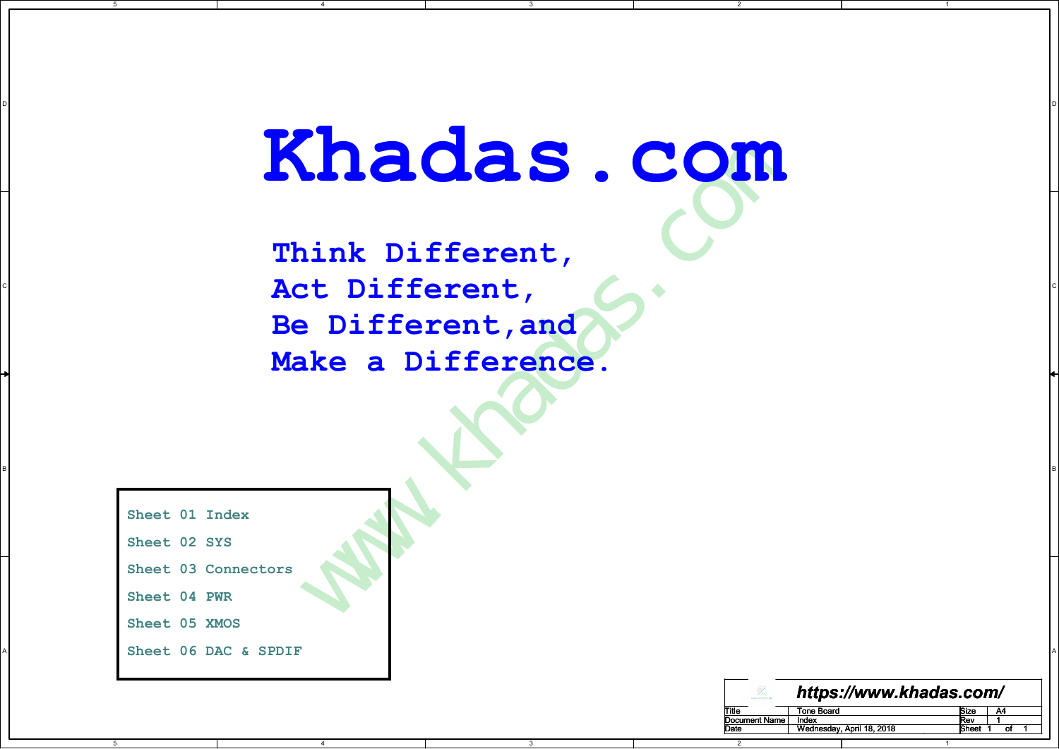3

B P S A SERVER THE SERVER OF THE SERVER OF THE SERVER OF THE SERVER OF THE SERVER OF THE SERVER OF THE SERVER OF THE SERVER OF THE SERVER OF THE SERVER OF THE SERVER OF THE SERVER OF THE SERVER OF THE SERVER OF THE SERVER

3

D I DO NOTES AND THE RESERVE TO A RESERVE THE RESERVE TO A RESERVE THE RESERVE TO A RESERVE THE RESERVE TO A R

2

Khadas.com<br>
Think Different,<br>
Act Different,<br>
Be Difference.<br>
Make a Difference.  $\begin{matrix} \text{R} \\ \text{R} \end{matrix}$  and  $\begin{matrix} \text{R} \\ \text{R} \end{matrix}$  and  $\begin{matrix} \text{R} \\ \text{R} \end{matrix}$  are  $\begin{matrix} \text{R} \\ \text{R} \end{matrix}$  and  $\begin{matrix} \text{R} \\ \text{R} \end{matrix}$  and  $\begin{matrix} \text{R} \\ \text{R} \end{matrix}$  and  $\begin{matrix} \text{R} \\ \text{R} \end{matrix}$  and  $\begin{matrix} \text{R} \\ \text{R} \end{matrix}$  a Think Different, Be Different,and Make a Difference.

4

Sheet 01 Index

Sheet 02 SYS

5

Sheet 03 Connectors

Sheet 04 PWR

5

Sheet 05 XMOS

A A Sheet 06 DAC & SPDIF

4

| https://www.khadas.com/<br>$\overline{\mathbb{X}}$<br>Title<br>Document Name<br>Date<br><b>Tone Board</b><br>A4<br><b>Size</b><br>Index<br>Rev<br>-1<br>Wednesday, April 18, 2018<br>Sheet<br>₫,<br>-1<br>-1<br>$\overline{2}$<br>$\overline{1}$ |  |  | B |  |  |  |  |
|--------------------------------------------------------------------------------------------------------------------------------------------------------------------------------------------------------------------------------------------------|--|--|---|--|--|--|--|
|                                                                                                                                                                                                                                                  |  |  |   |  |  |  |  |
|                                                                                                                                                                                                                                                  |  |  |   |  |  |  |  |
|                                                                                                                                                                                                                                                  |  |  |   |  |  |  |  |
|                                                                                                                                                                                                                                                  |  |  |   |  |  |  |  |
|                                                                                                                                                                                                                                                  |  |  |   |  |  |  |  |
|                                                                                                                                                                                                                                                  |  |  |   |  |  |  |  |
|                                                                                                                                                                                                                                                  |  |  |   |  |  |  |  |

1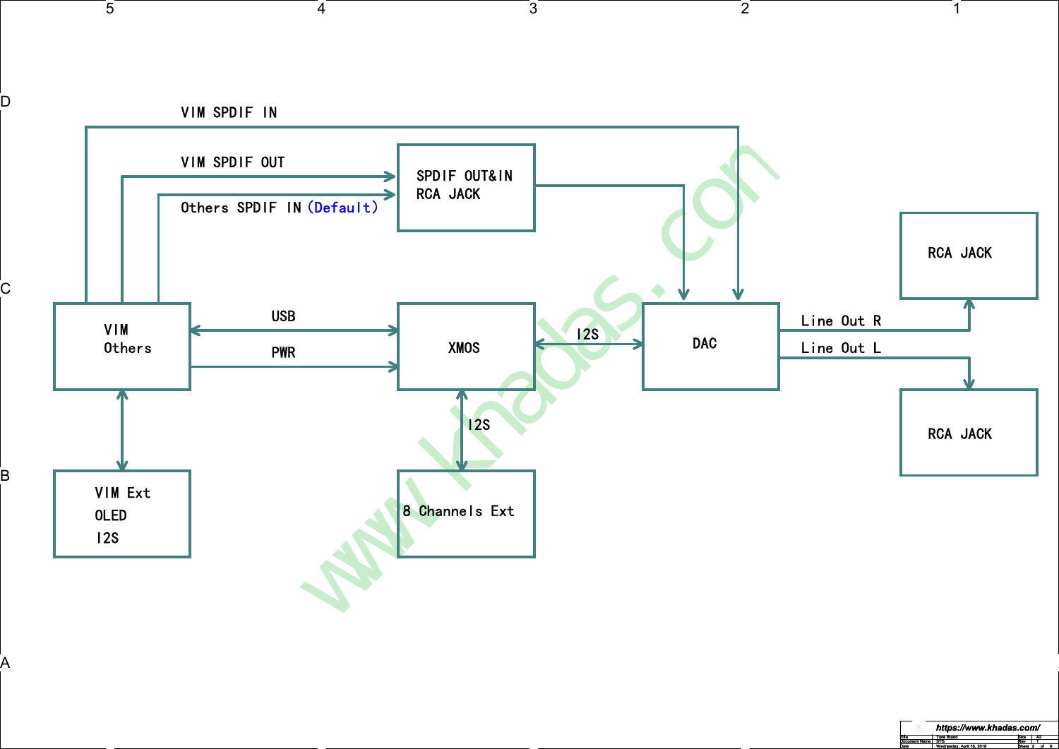

 $\overline{3}$ 

 $\sqrt{2}$ 

 $\overline{5}$ 

 $4$ 

Document Name SYS Rev Rev 1 Date | Wednesday, April 18, 2018 | Sheet 2 of 6 | **https://www.khadas.com/**<br><u>Title Tone Board Star Size A2</u><br>Document Name SYS

 $\mathbf{1}$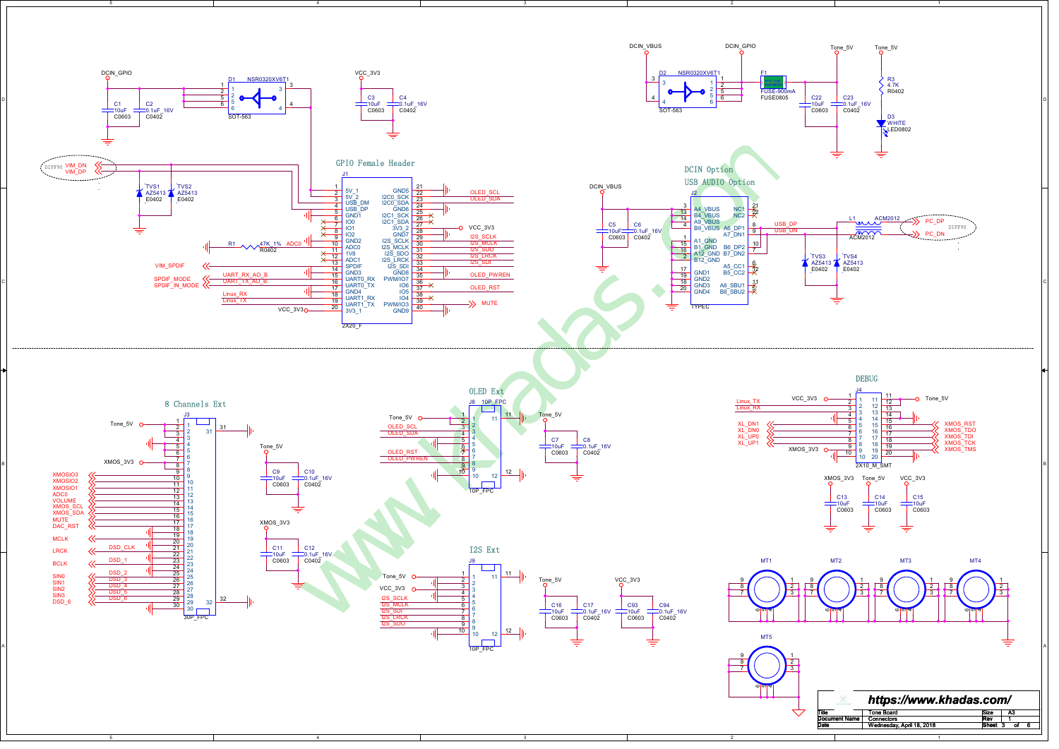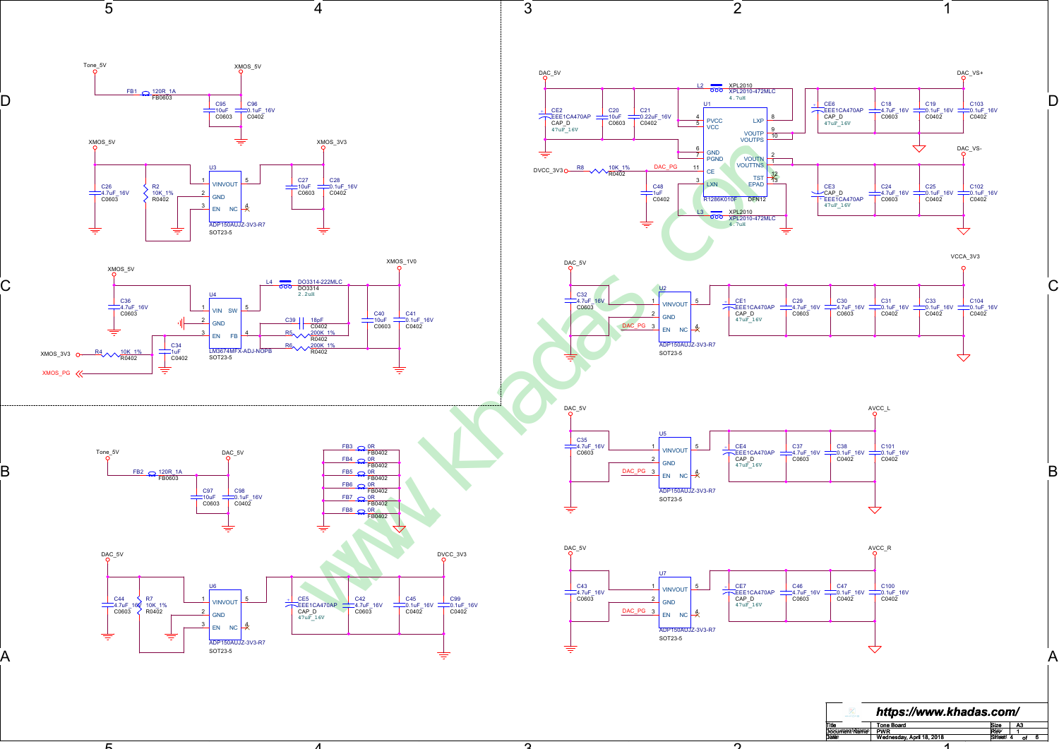

ີ່

n.

<u>г</u>

4

Document Name Rev Title Size Tone Board<br>PWR PWR REW 1<br>| Wednesday, April 18, 2018 REW Sheet 4 of PWR <sup>1</sup> Tone Board A3

1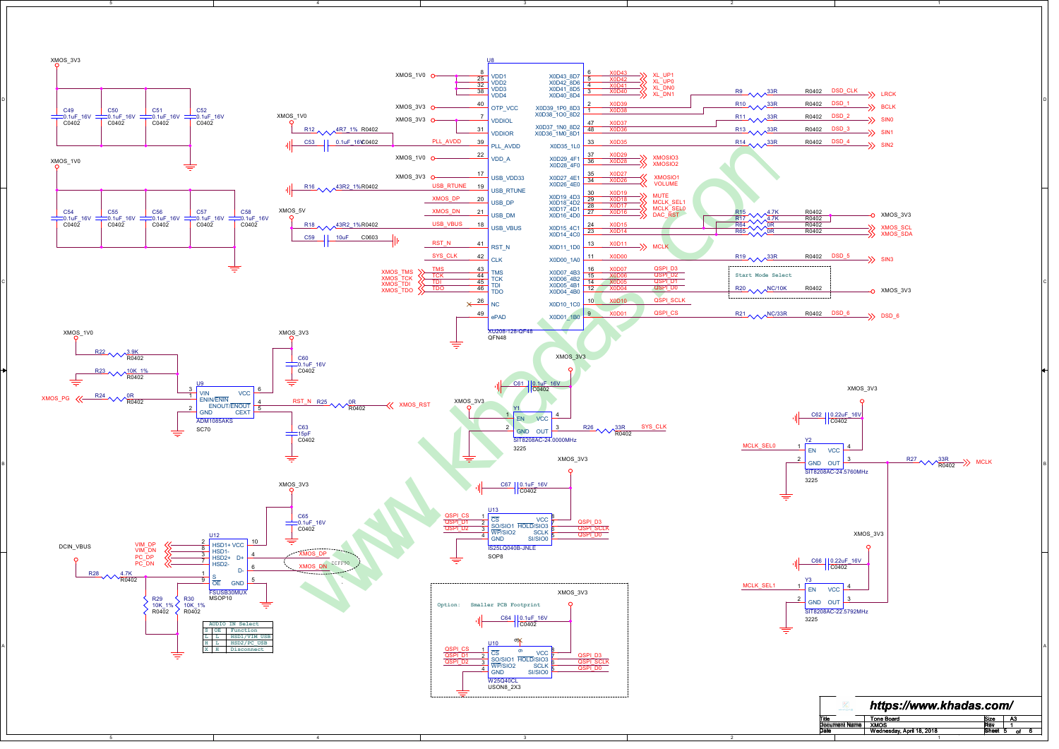